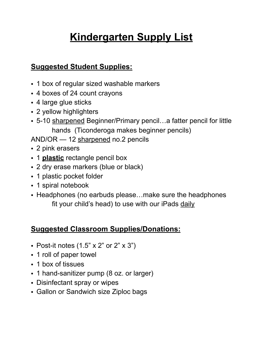# **Kindergarten Supply List**

# **Suggested Student Supplies:**

- 1 box of regular sized washable markers
- 4 boxes of 24 count crayons
- 4 large glue sticks
- 2 yellow highlighters
- 5-10 sharpened Beginner/Primary pencil...a fatter pencil for little hands (Ticonderoga makes beginner pencils)

AND/OR - 12 sharpened no.2 pencils

- 2 pink erasers
- 1 **plastic** rectangle pencil box
- 2 dry erase markers (blue or black)
- 1 plastic pocket folder
- 1 spiral notebook
- • Headphones (no earbuds please…make sure the headphones fit your child's head) to use with our iPads daily

# **Suggested Classroom Supplies/Donations:**

- Post-it notes  $(1.5" \times 2"$  or  $2" \times 3")$
- 1 roll of paper towel
- 1 box of tissues
- 1 hand-sanitizer pump (8 oz. or larger)
- Disinfectant spray or wipes
- Gallon or Sandwich size Ziploc bags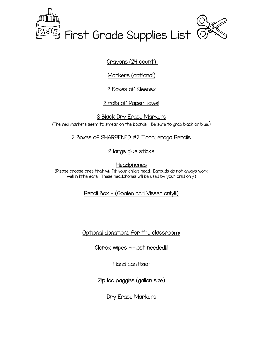

<u>Crayons (24 count) </u>

Markers (optional)

<u>2 Boxes of Kleenex</u>

2 rolls of Paper Towel

(The red markers seem to smear on the boards.  $\,$  Be sure to grab black or blue.)  $\,$ 8 Black Dry Erase Markers

2 Boxes of SHARPENED #2 Ticonderoga Pencils

2 large glue sticks

 (Please choose ones that will fit your child's head. Earbuds do not always work well in little ears. These headphones will be used by your child only.) **Headphones** 

<u> Pencil Box – (Goalen and Visser only!!!)</u>

Optional donations for the classroom:

Clorox Wipes -most needed!!!!

Hand Sanitizer

Zip loc baggies (gallon size)

Dry Erase Markers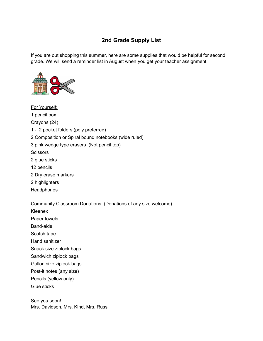## **2nd Grade Supply List**

 If you are out shopping this summer, here are some supplies that would be helpful for second grade. We will send a reminder list in August when you get your teacher assignment.



 1 pencil box 1 - 2 pocket folders (poly preferred) 2 Composition or Spiral bound notebooks (wide ruled) 3 pink wedge type erasers (Not pencil top) 2 glue sticks 2 Dry erase markers For Yourself: Crayons (24) **Scissors** 12 pencils 2 highlighters **Headphones** 

Community Classroom Donations (Donations of any size welcome)

Kleenex

Paper towels

Band-aids

Scotch tape

Hand sanitizer

Snack size ziplock bags

Sandwich ziplock bags

Gallon size ziplock bags

Post-it notes (any size)

Pencils (yellow only)

Glue sticks

 See you soon! Mrs. Davidson, Mrs. Kind, Mrs. Russ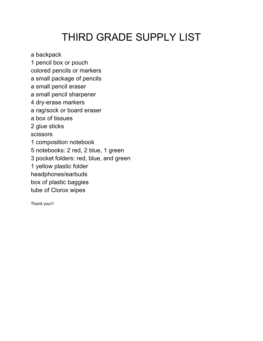# THIRD GRADE SUPPLY LIST

a backpack

 1 pencil box or pouch colored pencils or markers

 a small package of pencils a small pencil eraser

a small pencil sharpener

4 dry-erase markers

a rag/sock or board eraser

a box of tissues

2 glue sticks

scissors

1 composition notebook

5 notebooks: 2 red, 2 blue, 1 green

3 pocket folders: red, blue, and green

1 yellow plastic folder

headphones/earbuds

box of plastic baggies

tube of Clorox wipes

Thank you!!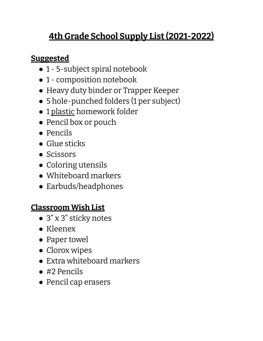### **4th Grade School Supply List(2021-2022)**

# **Suggested**

- 1 5-subject spiral notebook
- 1 composition notebook
- Heavy duty binder or Trapper Keeper
- 5 hole-punched folders (1 per subject)
- 1 plastic homework folder
- Pencil box or pouch
- Pencils
- Glue sticks
- Scissors
- Coloring utensils
- Whiteboard markers
- Earbuds/headphones

#### **Classroom Wish List**

- 3" x 3" sticky notes
- Kleenex
- Paper towel
- Clorox wipes
- Extra whiteboard markers
- #2 Pencils
- Pencil cap erasers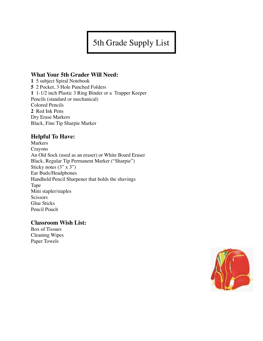5th Grade Supply List

## **What Your 5th Grader Will Need:**

**1** 5 subject Spiral Notebook **5** 2 Pocket, 3 Hole Punched Folders **1** 1-1/2 inch Plastic 3 Ring Binder or a Trapper Keeper Pencils (standard or mechanical) Colored Pencils **2** Red Ink Pens Dry Erase Markers Black, Fine Tip Sharpie Marker

## **Helpful To Have:**

Markers Crayons An Old Sock (used as an eraser) or White Board Eraser Black, Regular Tip Permanent Marker ("Sharpie") Sticky notes  $(3" \times 3")$ Ear Buds/Headphones Handheld Pencil Sharpener that holds the shavings Tape Mini stapler/staples **Scissors** Glue Sticks Pencil Pouch

## **Classroom Wish List:**

Box of Tissues Cleaning Wipes Paper Towels